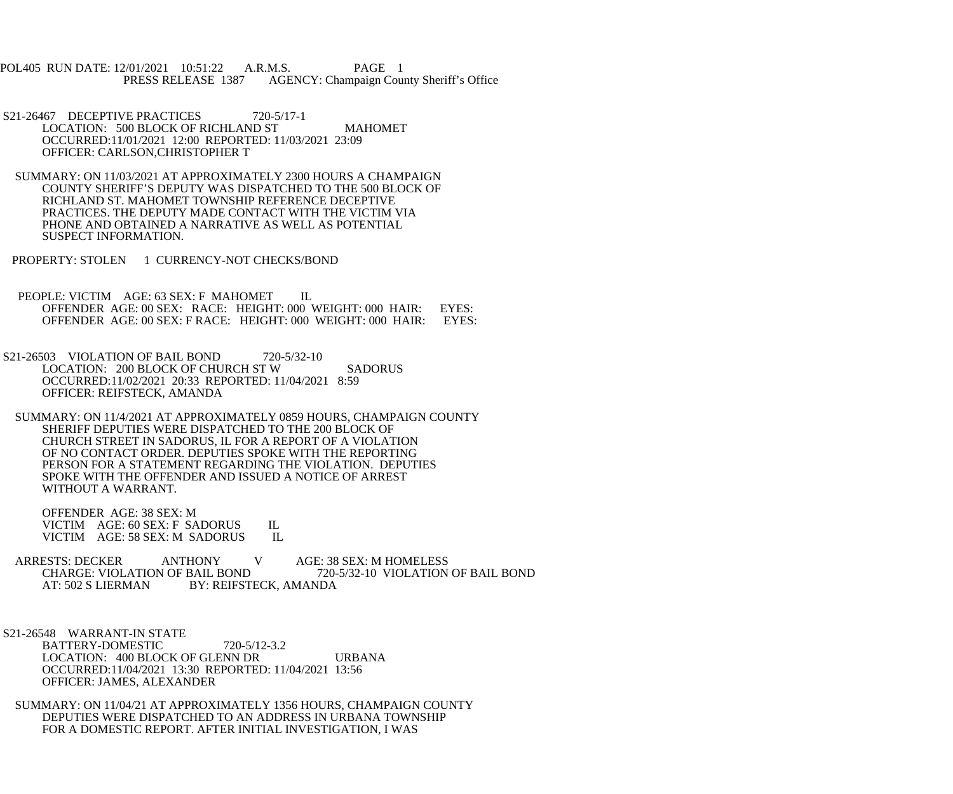POL405 RUN DATE: 12/01/2021 10:51:22 A.R.M.S. PAGE 1 AGENCY: Champaign County Sheriff's Office

S21-26467 DECEPTIVE PRACTICES 720-5/17-1 LOCATION: 500 BLOCK OF RICHLAND ST MAHOMET OCCURRED:11/01/2021 12:00 REPORTED: 11/03/2021 23:09 OFFICER: CARLSON,CHRISTOPHER T

 SUMMARY: ON 11/03/2021 AT APPROXIMATELY 2300 HOURS A CHAMPAIGN COUNTY SHERIFF'S DEPUTY WAS DISPATCHED TO THE 500 BLOCK OF RICHLAND ST. MAHOMET TOWNSHIP REFERENCE DECEPTIVE PRACTICES. THE DEPUTY MADE CONTACT WITH THE VICTIM VIA PHONE AND OBTAINED A NARRATIVE AS WELL AS POTENTIAL SUSPECT INFORMATION.

PROPERTY: STOLEN 1 CURRENCY-NOT CHECKS/BOND

PEOPLE: VICTIM AGE: 63 SEX: F MAHOMET IL OFFENDER AGE: 00 SEX: RACE: HEIGHT: 000 WEIGHT: 000 HAIR: EYES: OFFENDER AGE: 00 SEX: FRACE: HEIGHT: 000 WEIGHT: 000 HAIR: EYES: OFFENDER AGE: 00 SEX: F RACE: HEIGHT: 000 WEIGHT: 000 HAIR:

S21-26503 VIOLATION OF BAIL BOND 720-5/32-10 LOCATION: 200 BLOCK OF CHURCH ST W SADORUS OCCURRED:11/02/2021 20:33 REPORTED: 11/04/2021 8:59 OFFICER: REIFSTECK, AMANDA

 SUMMARY: ON 11/4/2021 AT APPROXIMATELY 0859 HOURS, CHAMPAIGN COUNTY SHERIFF DEPUTIES WERE DISPATCHED TO THE 200 BLOCK OF CHURCH STREET IN SADORUS, IL FOR A REPORT OF A VIOLATION OF NO CONTACT ORDER. DEPUTIES SPOKE WITH THE REPORTING PERSON FOR A STATEMENT REGARDING THE VIOLATION. DEPUTIES SPOKE WITH THE OFFENDER AND ISSUED A NOTICE OF ARREST WITHOUT A WARRANT.

 OFFENDER AGE: 38 SEX: M VICTIM AGE: 60 SEX: F SADORUS IL<br>VICTIM AGE: 58 SEX: M SADORUS IL VICTIM AGE: 58 SEX: M SADORUS

ARRESTS: DECKER ANTHONY V AGE: 38 SEX: M HOMELESS<br>CHARGE: VIOLATION OF BAIL BOND 720-5/32-10 VIOLATION CHARGE: VIOLATION OF BAIL BOND<br>AT: 502 S LIERMAN BY: REIFSTECK. AMANDA BY: REIFSTECK, AMANDA

 S21-26548 WARRANT-IN STATE BATTERY-DOMESTIC 720-5/12-3.2 LOCATION: 400 BLOCK OF GLENN DR URBANA OCCURRED:11/04/2021 13:30 REPORTED: 11/04/2021 13:56 OFFICER: JAMES, ALEXANDER

 SUMMARY: ON 11/04/21 AT APPROXIMATELY 1356 HOURS, CHAMPAIGN COUNTY DEPUTIES WERE DISPATCHED TO AN ADDRESS IN URBANA TOWNSHIP FOR A DOMESTIC REPORT. AFTER INITIAL INVESTIGATION, I WAS